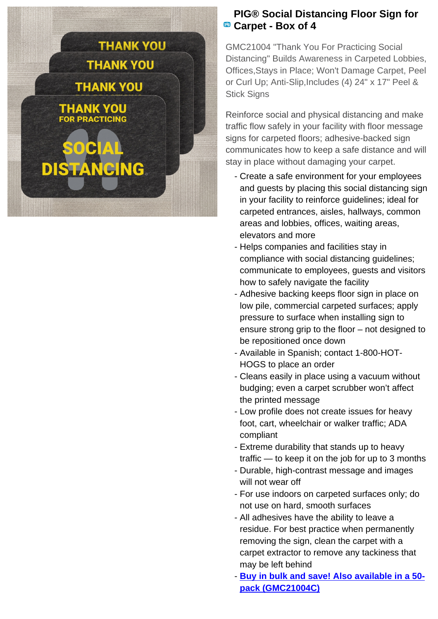

## **PIG® Social Distancing Floor Sign for Carpet - Box of 4**

GMC21004 "Thank You For Practicing Social Distancing" Builds Awareness in Carpeted Lobbies, Offices,Stays in Place; Won't Damage Carpet, Peel or Curl Up; Anti-Slip,Includes (4) 24" x 17" Peel & Stick Signs

Reinforce social and physical distancing and make traffic flow safely in your facility with floor message signs for carpeted floors; adhesive-backed sign communicates how to keep a safe distance and will stay in place without damaging your carpet.

- Create a safe environment for your employees and guests by placing this social distancing sign in your facility to reinforce guidelines; ideal for carpeted entrances, aisles, hallways, common areas and lobbies, offices, waiting areas, elevators and more
- Helps companies and facilities stay in compliance with social distancing guidelines; communicate to employees, guests and visitors how to safely navigate the facility
- Adhesive backing keeps floor sign in place on low pile, commercial carpeted surfaces; apply pressure to surface when installing sign to ensure strong grip to the floor – not designed to be repositioned once down
- Available in Spanish; contact 1-800-HOT-HOGS to place an order
- Cleans easily in place using a vacuum without budging; even a carpet scrubber won't affect the printed message
- Low profile does not create issues for heavy foot, cart, wheelchair or walker traffic; ADA compliant
- Extreme durability that stands up to heavy traffic — to keep it on the job for up to 3 months
- Durable, high-contrast message and images will not wear off
- For use indoors on carpeted surfaces only; do not use on hard, smooth surfaces
- All adhesives have the ability to leave a residue. For best practice when permanently removing the sign, clean the carpet with a carpet extractor to remove any tackiness that may be left behind
- **Buy in bulk and save! Also available in a 50pack (GMC21004C)**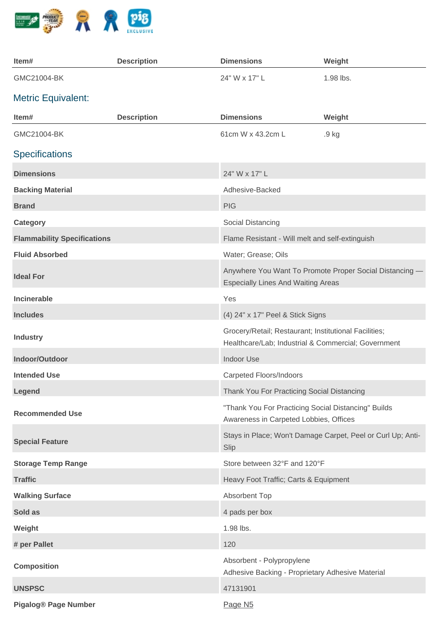

| Item#                              | <b>Description</b> | <b>Dimensions</b>                                                                                            | Weight                                                      |
|------------------------------------|--------------------|--------------------------------------------------------------------------------------------------------------|-------------------------------------------------------------|
| GMC21004-BK                        |                    | 24" W x 17" L                                                                                                | 1.98 lbs.                                                   |
| <b>Metric Equivalent:</b>          |                    |                                                                                                              |                                                             |
| Item#                              | <b>Description</b> | <b>Dimensions</b>                                                                                            | Weight                                                      |
| GMC21004-BK                        |                    | 61cm W x 43.2cm L                                                                                            | .9 kg                                                       |
| <b>Specifications</b>              |                    |                                                                                                              |                                                             |
| <b>Dimensions</b>                  |                    | 24" W x 17" L                                                                                                |                                                             |
| <b>Backing Material</b>            |                    | Adhesive-Backed                                                                                              |                                                             |
| <b>Brand</b>                       |                    | <b>PIG</b>                                                                                                   |                                                             |
| <b>Category</b>                    |                    | Social Distancing                                                                                            |                                                             |
| <b>Flammability Specifications</b> |                    | Flame Resistant - Will melt and self-extinguish                                                              |                                                             |
| <b>Fluid Absorbed</b>              |                    | Water; Grease; Oils                                                                                          |                                                             |
| <b>Ideal For</b>                   |                    | <b>Especially Lines And Waiting Areas</b>                                                                    | Anywhere You Want To Promote Proper Social Distancing -     |
| <b>Incinerable</b>                 |                    | Yes                                                                                                          |                                                             |
| <b>Includes</b>                    |                    | (4) 24" x 17" Peel & Stick Signs                                                                             |                                                             |
| <b>Industry</b>                    |                    | Grocery/Retail; Restaurant; Institutional Facilities;<br>Healthcare/Lab; Industrial & Commercial; Government |                                                             |
| Indoor/Outdoor                     |                    | <b>Indoor Use</b>                                                                                            |                                                             |
| <b>Intended Use</b>                |                    | <b>Carpeted Floors/Indoors</b>                                                                               |                                                             |
| Legend                             |                    | Thank You For Practicing Social Distancing                                                                   |                                                             |
| <b>Recommended Use</b>             |                    | "Thank You For Practicing Social Distancing" Builds<br>Awareness in Carpeted Lobbies, Offices                |                                                             |
| <b>Special Feature</b>             |                    | Slip                                                                                                         | Stays in Place; Won't Damage Carpet, Peel or Curl Up; Anti- |
| <b>Storage Temp Range</b>          |                    | Store between 32°F and 120°F                                                                                 |                                                             |
| <b>Traffic</b>                     |                    | Heavy Foot Traffic; Carts & Equipment                                                                        |                                                             |
| <b>Walking Surface</b>             |                    | Absorbent Top                                                                                                |                                                             |
| Sold as                            |                    | 4 pads per box                                                                                               |                                                             |
| Weight                             |                    | 1.98 lbs.                                                                                                    |                                                             |
| # per Pallet                       |                    | 120                                                                                                          |                                                             |
| <b>Composition</b>                 |                    | Absorbent - Polypropylene<br>Adhesive Backing - Proprietary Adhesive Material                                |                                                             |
| <b>UNSPSC</b>                      |                    | 47131901                                                                                                     |                                                             |
| <b>Pigalog® Page Number</b>        |                    | Page N <sub>5</sub>                                                                                          |                                                             |